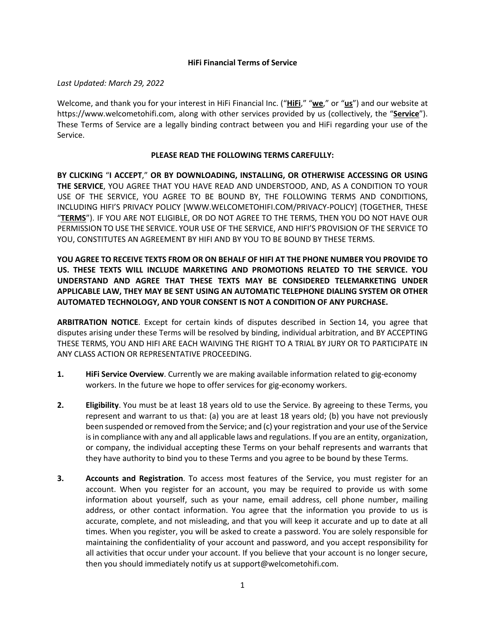### **HiFi Financial Terms of Service**

*Last Updated: March 29, 2022*

Welcome, and thank you for your interest in HiFi Financial Inc. ("**HiFi**," "**we**," or "**us**") and our website at https://www.welcometohifi.com, along with other services provided by us (collectively, the "**Service**"). These Terms of Service are a legally binding contract between you and HiFi regarding your use of the Service.

### **PLEASE READ THE FOLLOWING TERMS CAREFULLY:**

**BY CLICKING** "**I ACCEPT**," **OR BY DOWNLOADING, INSTALLING, OR OTHERWISE ACCESSING OR USING THE SERVICE**, YOU AGREE THAT YOU HAVE READ AND UNDERSTOOD, AND, AS A CONDITION TO YOUR USE OF THE SERVICE, YOU AGREE TO BE BOUND BY, THE FOLLOWING TERMS AND CONDITIONS, INCLUDING HIFI'S PRIVACY POLICY [WWW.WELCOMETOHIFI.COM/PRIVACY-POLICY] (TOGETHER, THESE "**TERMS**"). IF YOU ARE NOT ELIGIBLE, OR DO NOT AGREE TO THE TERMS, THEN YOU DO NOT HAVE OUR PERMISSION TO USE THE SERVICE. YOUR USE OF THE SERVICE, AND HIFI'S PROVISION OF THE SERVICE TO YOU, CONSTITUTES AN AGREEMENT BY HIFI AND BY YOU TO BE BOUND BY THESE TERMS.

**YOU AGREE TO RECEIVE TEXTS FROM OR ON BEHALF OF HIFI AT THE PHONE NUMBER YOU PROVIDE TO US. THESE TEXTS WILL INCLUDE MARKETING AND PROMOTIONS RELATED TO THE SERVICE. YOU UNDERSTAND AND AGREE THAT THESE TEXTS MAY BE CONSIDERED TELEMARKETING UNDER APPLICABLE LAW, THEY MAY BE SENT USING AN AUTOMATIC TELEPHONE DIALING SYSTEM OR OTHER AUTOMATED TECHNOLOGY, AND YOUR CONSENT IS NOT A CONDITION OF ANY PURCHASE.**

**ARBITRATION NOTICE**. Except for certain kinds of disputes described in Section 14, you agree that disputes arising under these Terms will be resolved by binding, individual arbitration, and BY ACCEPTING THESE TERMS, YOU AND HIFI ARE EACH WAIVING THE RIGHT TO A TRIAL BY JURY OR TO PARTICIPATE IN ANY CLASS ACTION OR REPRESENTATIVE PROCEEDING.

- **1. HiFi Service Overview**. Currently we are making available information related to gig-economy workers. In the future we hope to offer services for gig-economy workers.
- **2. Eligibility**. You must be at least 18 years old to use the Service. By agreeing to these Terms, you represent and warrant to us that: (a) you are at least 18 years old; (b) you have not previously been suspended or removed from the Service; and (c) your registration and your use of the Service is in compliance with any and all applicable laws and regulations. If you are an entity, organization, or company, the individual accepting these Terms on your behalf represents and warrants that they have authority to bind you to these Terms and you agree to be bound by these Terms.
- **3. Accounts and Registration**. To access most features of the Service, you must register for an account. When you register for an account, you may be required to provide us with some information about yourself, such as your name, email address, cell phone number, mailing address, or other contact information. You agree that the information you provide to us is accurate, complete, and not misleading, and that you will keep it accurate and up to date at all times. When you register, you will be asked to create a password. You are solely responsible for maintaining the confidentiality of your account and password, and you accept responsibility for all activities that occur under your account. If you believe that your account is no longer secure, then you should immediately notify us at support@welcometohifi.com.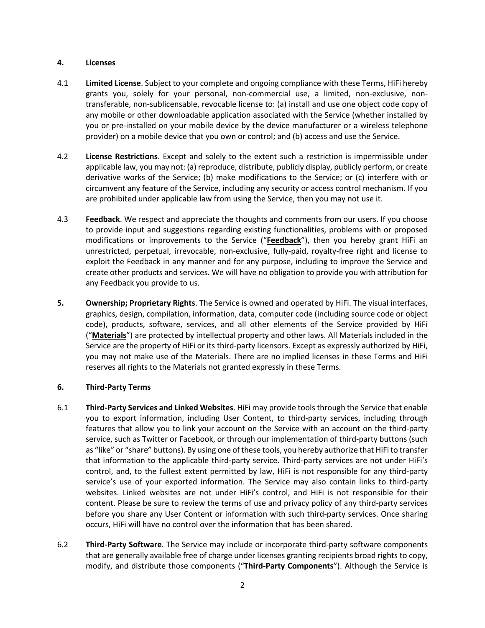# **4. Licenses**

- 4.1 **Limited License**. Subject to your complete and ongoing compliance with these Terms, HiFi hereby grants you, solely for your personal, non-commercial use, a limited, non-exclusive, nontransferable, non-sublicensable, revocable license to: (a) install and use one object code copy of any mobile or other downloadable application associated with the Service (whether installed by you or pre-installed on your mobile device by the device manufacturer or a wireless telephone provider) on a mobile device that you own or control; and (b) access and use the Service.
- 4.2 **License Restrictions**. Except and solely to the extent such a restriction is impermissible under applicable law, you may not: (a) reproduce, distribute, publicly display, publicly perform, or create derivative works of the Service; (b) make modifications to the Service; or (c) interfere with or circumvent any feature of the Service, including any security or access control mechanism. If you are prohibited under applicable law from using the Service, then you may not use it.
- 4.3 **Feedback**. We respect and appreciate the thoughts and comments from our users. If you choose to provide input and suggestions regarding existing functionalities, problems with or proposed modifications or improvements to the Service ("**Feedback**"), then you hereby grant HiFi an unrestricted, perpetual, irrevocable, non-exclusive, fully-paid, royalty-free right and license to exploit the Feedback in any manner and for any purpose, including to improve the Service and create other products and services. We will have no obligation to provide you with attribution for any Feedback you provide to us.
- **5. Ownership; Proprietary Rights**. The Service is owned and operated by HiFi. The visual interfaces, graphics, design, compilation, information, data, computer code (including source code or object code), products, software, services, and all other elements of the Service provided by HiFi ("**Materials**") are protected by intellectual property and other laws. All Materials included in the Service are the property of HiFi or its third-party licensors. Except as expressly authorized by HiFi, you may not make use of the Materials. There are no implied licenses in these Terms and HiFi reserves all rights to the Materials not granted expressly in these Terms.

# **6. Third-Party Terms**

- 6.1 **Third-Party Services and Linked Websites**. HiFi may provide tools through the Service that enable you to export information, including User Content, to third-party services, including through features that allow you to link your account on the Service with an account on the third-party service, such as Twitter or Facebook, or through our implementation of third-party buttons (such as "like" or "share" buttons). By using one of these tools, you hereby authorize that HiFi to transfer that information to the applicable third-party service. Third-party services are not under HiFi's control, and, to the fullest extent permitted by law, HiFi is not responsible for any third-party service's use of your exported information. The Service may also contain links to third-party websites. Linked websites are not under HiFi's control, and HiFi is not responsible for their content. Please be sure to review the terms of use and privacy policy of any third-party services before you share any User Content or information with such third-party services. Once sharing occurs, HiFi will have no control over the information that has been shared.
- 6.2 **Third-Party Software**. The Service may include or incorporate third-party software components that are generally available free of charge under licenses granting recipients broad rights to copy, modify, and distribute those components ("**Third-Party Components**"). Although the Service is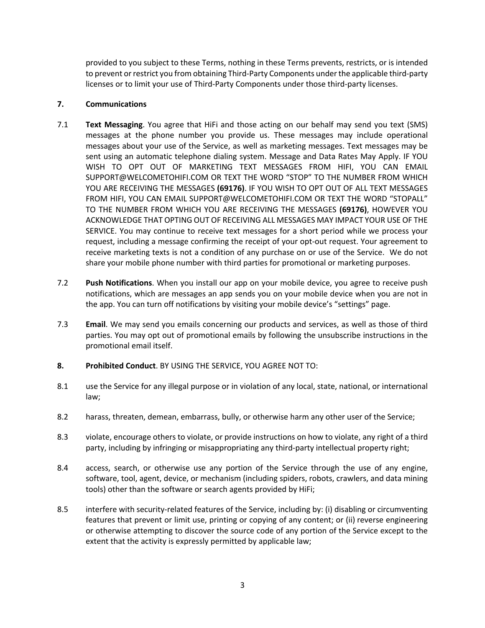provided to you subject to these Terms, nothing in these Terms prevents, restricts, or is intended to prevent or restrict you from obtaining Third-Party Components under the applicable third-party licenses or to limit your use of Third-Party Components under those third-party licenses.

# **7. Communications**

- 7.1 **Text Messaging**. You agree that HiFi and those acting on our behalf may send you text (SMS) messages at the phone number you provide us. These messages may include operational messages about your use of the Service, as well as marketing messages. Text messages may be sent using an automatic telephone dialing system. Message and Data Rates May Apply. IF YOU WISH TO OPT OUT OF MARKETING TEXT MESSAGES FROM HIFI, YOU CAN EMAIL SUPPORT@WELCOMETOHIFI.COM OR TEXT THE WORD "STOP" TO THE NUMBER FROM WHICH YOU ARE RECEIVING THE MESSAGES **(69176)**. IF YOU WISH TO OPT OUT OF ALL TEXT MESSAGES FROM HIFI, YOU CAN EMAIL SUPPORT@WELCOMETOHIFI.COM OR TEXT THE WORD "STOPALL" TO THE NUMBER FROM WHICH YOU ARE RECEIVING THE MESSAGES **(69176)**, HOWEVER YOU ACKNOWLEDGE THAT OPTING OUT OF RECEIVING ALL MESSAGES MAY IMPACT YOUR USE OF THE SERVICE. You may continue to receive text messages for a short period while we process your request, including a message confirming the receipt of your opt-out request. Your agreement to receive marketing texts is not a condition of any purchase on or use of the Service. We do not share your mobile phone number with third parties for promotional or marketing purposes.
- 7.2 **Push Notifications**. When you install our app on your mobile device, you agree to receive push notifications, which are messages an app sends you on your mobile device when you are not in the app. You can turn off notifications by visiting your mobile device's "settings" page.
- 7.3 **Email**. We may send you emails concerning our products and services, as well as those of third parties. You may opt out of promotional emails by following the unsubscribe instructions in the promotional email itself.
- **8. Prohibited Conduct**. BY USING THE SERVICE, YOU AGREE NOT TO:
- 8.1 use the Service for any illegal purpose or in violation of any local, state, national, or international law;
- 8.2 harass, threaten, demean, embarrass, bully, or otherwise harm any other user of the Service;
- 8.3 violate, encourage others to violate, or provide instructions on how to violate, any right of a third party, including by infringing or misappropriating any third-party intellectual property right;
- 8.4 access, search, or otherwise use any portion of the Service through the use of any engine, software, tool, agent, device, or mechanism (including spiders, robots, crawlers, and data mining tools) other than the software or search agents provided by HiFi;
- 8.5 interfere with security-related features of the Service, including by: (i) disabling or circumventing features that prevent or limit use, printing or copying of any content; or (ii) reverse engineering or otherwise attempting to discover the source code of any portion of the Service except to the extent that the activity is expressly permitted by applicable law;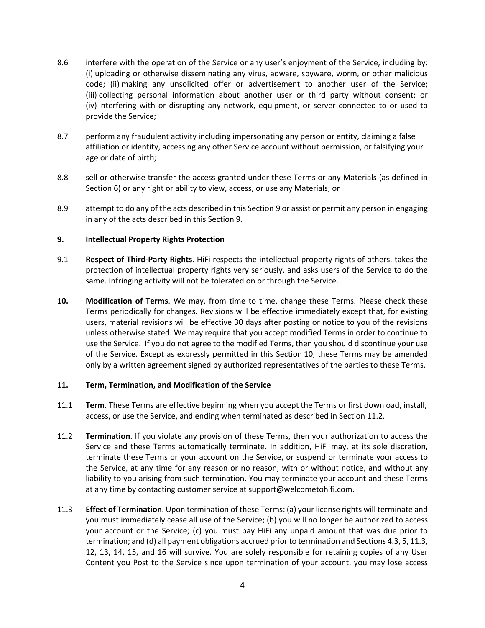- 8.6 interfere with the operation of the Service or any user's enjoyment of the Service, including by: (i) uploading or otherwise disseminating any virus, adware, spyware, worm, or other malicious code; (ii) making any unsolicited offer or advertisement to another user of the Service; (iii) collecting personal information about another user or third party without consent; or (iv) interfering with or disrupting any network, equipment, or server connected to or used to provide the Service;
- 8.7 perform any fraudulent activity including impersonating any person or entity, claiming a false affiliation or identity, accessing any other Service account without permission, or falsifying your age or date of birth;
- 8.8 sell or otherwise transfer the access granted under these Terms or any Materials (as defined in Section 6) or any right or ability to view, access, or use any Materials; or
- 8.9 attempt to do any of the acts described in this Section 9 or assist or permit any person in engaging in any of the acts described in this Section 9.

### **9. Intellectual Property Rights Protection**

- 9.1 **Respect of Third-Party Rights**. HiFi respects the intellectual property rights of others, takes the protection of intellectual property rights very seriously, and asks users of the Service to do the same. Infringing activity will not be tolerated on or through the Service.
- **10. Modification of Terms**. We may, from time to time, change these Terms. Please check these Terms periodically for changes. Revisions will be effective immediately except that, for existing users, material revisions will be effective 30 days after posting or notice to you of the revisions unless otherwise stated. We may require that you accept modified Terms in order to continue to use the Service. If you do not agree to the modified Terms, then you should discontinue your use of the Service. Except as expressly permitted in this Section 10, these Terms may be amended only by a written agreement signed by authorized representatives of the parties to these Terms.

#### **11. Term, Termination, and Modification of the Service**

- 11.1 **Term**. These Terms are effective beginning when you accept the Terms or first download, install, access, or use the Service, and ending when terminated as described in Section 11.2.
- 11.2 **Termination**. If you violate any provision of these Terms, then your authorization to access the Service and these Terms automatically terminate. In addition, HiFi may, at its sole discretion, terminate these Terms or your account on the Service, or suspend or terminate your access to the Service, at any time for any reason or no reason, with or without notice, and without any liability to you arising from such termination. You may terminate your account and these Terms at any time by contacting customer service at support@welcometohifi.com.
- 11.3 **Effect of Termination**. Upon termination of these Terms: (a) your license rights will terminate and you must immediately cease all use of the Service; (b) you will no longer be authorized to access your account or the Service; (c) you must pay HiFi any unpaid amount that was due prior to termination; and (d) all payment obligations accrued prior to termination and Sections 4.3, 5, 11.3, 12, 13, 14, 15, and 16 will survive. You are solely responsible for retaining copies of any User Content you Post to the Service since upon termination of your account, you may lose access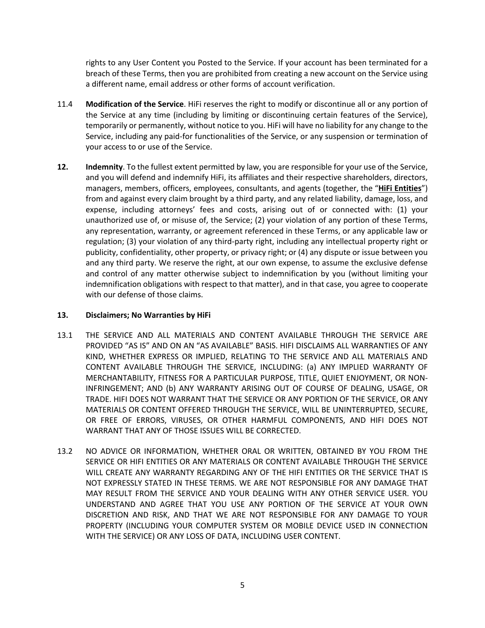rights to any User Content you Posted to the Service. If your account has been terminated for a breach of these Terms, then you are prohibited from creating a new account on the Service using a different name, email address or other forms of account verification.

- 11.4 **Modification of the Service**. HiFi reserves the right to modify or discontinue all or any portion of the Service at any time (including by limiting or discontinuing certain features of the Service), temporarily or permanently, without notice to you. HiFi will have no liability for any change to the Service, including any paid-for functionalities of the Service, or any suspension or termination of your access to or use of the Service.
- **12. Indemnity**. To the fullest extent permitted by law, you are responsible for your use of the Service, and you will defend and indemnify HiFi, its affiliates and their respective shareholders, directors, managers, members, officers, employees, consultants, and agents (together, the "**HiFi Entities**") from and against every claim brought by a third party, and any related liability, damage, loss, and expense, including attorneys' fees and costs, arising out of or connected with: (1) your unauthorized use of, or misuse of, the Service; (2) your violation of any portion of these Terms, any representation, warranty, or agreement referenced in these Terms, or any applicable law or regulation; (3) your violation of any third-party right, including any intellectual property right or publicity, confidentiality, other property, or privacy right; or (4) any dispute or issue between you and any third party. We reserve the right, at our own expense, to assume the exclusive defense and control of any matter otherwise subject to indemnification by you (without limiting your indemnification obligations with respect to that matter), and in that case, you agree to cooperate with our defense of those claims.

# **13. Disclaimers; No Warranties by HiFi**

- 13.1 THE SERVICE AND ALL MATERIALS AND CONTENT AVAILABLE THROUGH THE SERVICE ARE PROVIDED "AS IS" AND ON AN "AS AVAILABLE" BASIS. HIFI DISCLAIMS ALL WARRANTIES OF ANY KIND, WHETHER EXPRESS OR IMPLIED, RELATING TO THE SERVICE AND ALL MATERIALS AND CONTENT AVAILABLE THROUGH THE SERVICE, INCLUDING: (a) ANY IMPLIED WARRANTY OF MERCHANTABILITY, FITNESS FOR A PARTICULAR PURPOSE, TITLE, QUIET ENJOYMENT, OR NON-INFRINGEMENT; AND (b) ANY WARRANTY ARISING OUT OF COURSE OF DEALING, USAGE, OR TRADE. HIFI DOES NOT WARRANT THAT THE SERVICE OR ANY PORTION OF THE SERVICE, OR ANY MATERIALS OR CONTENT OFFERED THROUGH THE SERVICE, WILL BE UNINTERRUPTED, SECURE, OR FREE OF ERRORS, VIRUSES, OR OTHER HARMFUL COMPONENTS, AND HIFI DOES NOT WARRANT THAT ANY OF THOSE ISSUES WILL BE CORRECTED.
- 13.2 NO ADVICE OR INFORMATION, WHETHER ORAL OR WRITTEN, OBTAINED BY YOU FROM THE SERVICE OR HIFI ENTITIES OR ANY MATERIALS OR CONTENT AVAILABLE THROUGH THE SERVICE WILL CREATE ANY WARRANTY REGARDING ANY OF THE HIFI ENTITIES OR THE SERVICE THAT IS NOT EXPRESSLY STATED IN THESE TERMS. WE ARE NOT RESPONSIBLE FOR ANY DAMAGE THAT MAY RESULT FROM THE SERVICE AND YOUR DEALING WITH ANY OTHER SERVICE USER. YOU UNDERSTAND AND AGREE THAT YOU USE ANY PORTION OF THE SERVICE AT YOUR OWN DISCRETION AND RISK, AND THAT WE ARE NOT RESPONSIBLE FOR ANY DAMAGE TO YOUR PROPERTY (INCLUDING YOUR COMPUTER SYSTEM OR MOBILE DEVICE USED IN CONNECTION WITH THE SERVICE) OR ANY LOSS OF DATA, INCLUDING USER CONTENT.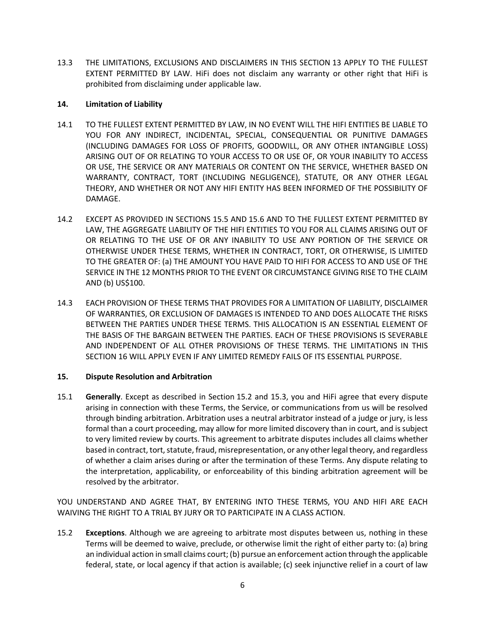13.3 THE LIMITATIONS, EXCLUSIONS AND DISCLAIMERS IN THIS SECTION 13 APPLY TO THE FULLEST EXTENT PERMITTED BY LAW. HiFi does not disclaim any warranty or other right that HiFi is prohibited from disclaiming under applicable law.

# **14. Limitation of Liability**

- 14.1 TO THE FULLEST EXTENT PERMITTED BY LAW, IN NO EVENT WILL THE HIFI ENTITIES BE LIABLE TO YOU FOR ANY INDIRECT, INCIDENTAL, SPECIAL, CONSEQUENTIAL OR PUNITIVE DAMAGES (INCLUDING DAMAGES FOR LOSS OF PROFITS, GOODWILL, OR ANY OTHER INTANGIBLE LOSS) ARISING OUT OF OR RELATING TO YOUR ACCESS TO OR USE OF, OR YOUR INABILITY TO ACCESS OR USE, THE SERVICE OR ANY MATERIALS OR CONTENT ON THE SERVICE, WHETHER BASED ON WARRANTY, CONTRACT, TORT (INCLUDING NEGLIGENCE), STATUTE, OR ANY OTHER LEGAL THEORY, AND WHETHER OR NOT ANY HIFI ENTITY HAS BEEN INFORMED OF THE POSSIBILITY OF DAMAGE.
- 14.2 EXCEPT AS PROVIDED IN SECTIONS 15.5 AND 15.6 AND TO THE FULLEST EXTENT PERMITTED BY LAW, THE AGGREGATE LIABILITY OF THE HIFI ENTITIES TO YOU FOR ALL CLAIMS ARISING OUT OF OR RELATING TO THE USE OF OR ANY INABILITY TO USE ANY PORTION OF THE SERVICE OR OTHERWISE UNDER THESE TERMS, WHETHER IN CONTRACT, TORT, OR OTHERWISE, IS LIMITED TO THE GREATER OF: (a) THE AMOUNT YOU HAVE PAID TO HIFI FOR ACCESS TO AND USE OF THE SERVICE IN THE 12 MONTHS PRIOR TO THE EVENT OR CIRCUMSTANCE GIVING RISE TO THE CLAIM AND (b) US\$100.
- 14.3 EACH PROVISION OF THESE TERMS THAT PROVIDES FOR A LIMITATION OF LIABILITY, DISCLAIMER OF WARRANTIES, OR EXCLUSION OF DAMAGES IS INTENDED TO AND DOES ALLOCATE THE RISKS BETWEEN THE PARTIES UNDER THESE TERMS. THIS ALLOCATION IS AN ESSENTIAL ELEMENT OF THE BASIS OF THE BARGAIN BETWEEN THE PARTIES. EACH OF THESE PROVISIONS IS SEVERABLE AND INDEPENDENT OF ALL OTHER PROVISIONS OF THESE TERMS. THE LIMITATIONS IN THIS SECTION 16 WILL APPLY EVEN IF ANY LIMITED REMEDY FAILS OF ITS ESSENTIAL PURPOSE.

# **15. Dispute Resolution and Arbitration**

15.1 **Generally**. Except as described in Section 15.2 and 15.3, you and HiFi agree that every dispute arising in connection with these Terms, the Service, or communications from us will be resolved through binding arbitration. Arbitration uses a neutral arbitrator instead of a judge or jury, is less formal than a court proceeding, may allow for more limited discovery than in court, and is subject to very limited review by courts. This agreement to arbitrate disputes includes all claims whether based in contract, tort, statute, fraud, misrepresentation, or any other legal theory, and regardless of whether a claim arises during or after the termination of these Terms. Any dispute relating to the interpretation, applicability, or enforceability of this binding arbitration agreement will be resolved by the arbitrator.

YOU UNDERSTAND AND AGREE THAT, BY ENTERING INTO THESE TERMS, YOU AND HIFI ARE EACH WAIVING THE RIGHT TO A TRIAL BY JURY OR TO PARTICIPATE IN A CLASS ACTION.

15.2 **Exceptions**. Although we are agreeing to arbitrate most disputes between us, nothing in these Terms will be deemed to waive, preclude, or otherwise limit the right of either party to: (a) bring an individual action in small claims court; (b) pursue an enforcement action through the applicable federal, state, or local agency if that action is available; (c) seek injunctive relief in a court of law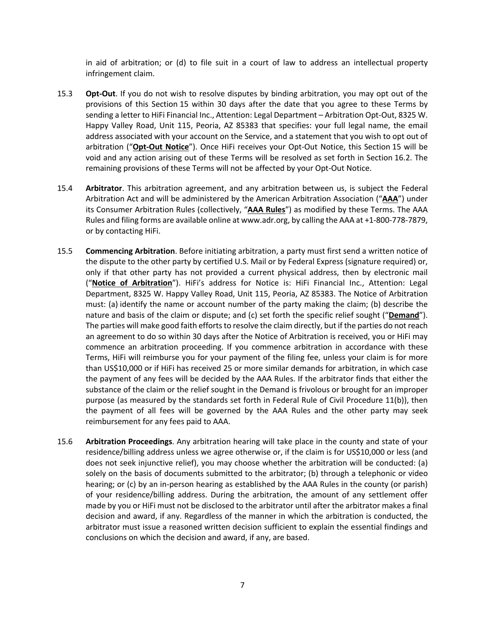in aid of arbitration; or (d) to file suit in a court of law to address an intellectual property infringement claim.

- 15.3 **Opt-Out**. If you do not wish to resolve disputes by binding arbitration, you may opt out of the provisions of this Section 15 within 30 days after the date that you agree to these Terms by sending a letter to HiFi Financial Inc., Attention: Legal Department – Arbitration Opt-Out, 8325 W. Happy Valley Road, Unit 115, Peoria, AZ 85383 that specifies: your full legal name, the email address associated with your account on the Service, and a statement that you wish to opt out of arbitration ("**Opt-Out Notice**"). Once HiFi receives your Opt-Out Notice, this Section 15 will be void and any action arising out of these Terms will be resolved as set forth in Section 16.2. The remaining provisions of these Terms will not be affected by your Opt-Out Notice.
- 15.4 **Arbitrator**. This arbitration agreement, and any arbitration between us, is subject the Federal Arbitration Act and will be administered by the American Arbitration Association ("**AAA**") under its Consumer Arbitration Rules (collectively, "**AAA Rules**") as modified by these Terms. The AAA Rules and filing forms are available online at www.adr.org, by calling the AAA at +1-800-778-7879, or by contacting HiFi.
- 15.5 **Commencing Arbitration**. Before initiating arbitration, a party must first send a written notice of the dispute to the other party by certified U.S. Mail or by Federal Express (signature required) or, only if that other party has not provided a current physical address, then by electronic mail ("**Notice of Arbitration**"). HiFi's address for Notice is: HiFi Financial Inc., Attention: Legal Department, 8325 W. Happy Valley Road, Unit 115, Peoria, AZ 85383. The Notice of Arbitration must: (a) identify the name or account number of the party making the claim; (b) describe the nature and basis of the claim or dispute; and (c) set forth the specific relief sought ("**Demand**"). The parties will make good faith efforts to resolve the claim directly, but if the parties do not reach an agreement to do so within 30 days after the Notice of Arbitration is received, you or HiFi may commence an arbitration proceeding. If you commence arbitration in accordance with these Terms, HiFi will reimburse you for your payment of the filing fee, unless your claim is for more than US\$10,000 or if HiFi has received 25 or more similar demands for arbitration, in which case the payment of any fees will be decided by the AAA Rules. If the arbitrator finds that either the substance of the claim or the relief sought in the Demand is frivolous or brought for an improper purpose (as measured by the standards set forth in Federal Rule of Civil Procedure 11(b)), then the payment of all fees will be governed by the AAA Rules and the other party may seek reimbursement for any fees paid to AAA.
- 15.6 **Arbitration Proceedings**. Any arbitration hearing will take place in the county and state of your residence/billing address unless we agree otherwise or, if the claim is for US\$10,000 or less (and does not seek injunctive relief), you may choose whether the arbitration will be conducted: (a) solely on the basis of documents submitted to the arbitrator; (b) through a telephonic or video hearing; or (c) by an in-person hearing as established by the AAA Rules in the county (or parish) of your residence/billing address. During the arbitration, the amount of any settlement offer made by you or HiFi must not be disclosed to the arbitrator until after the arbitrator makes a final decision and award, if any. Regardless of the manner in which the arbitration is conducted, the arbitrator must issue a reasoned written decision sufficient to explain the essential findings and conclusions on which the decision and award, if any, are based.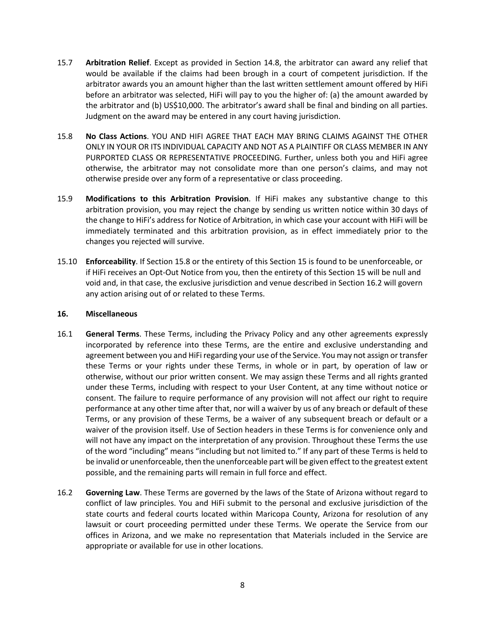- 15.7 **Arbitration Relief**. Except as provided in Section 14.8, the arbitrator can award any relief that would be available if the claims had been brough in a court of competent jurisdiction. If the arbitrator awards you an amount higher than the last written settlement amount offered by HiFi before an arbitrator was selected, HiFi will pay to you the higher of: (a) the amount awarded by the arbitrator and (b) US\$10,000. The arbitrator's award shall be final and binding on all parties. Judgment on the award may be entered in any court having jurisdiction.
- 15.8 **No Class Actions**. YOU AND HIFI AGREE THAT EACH MAY BRING CLAIMS AGAINST THE OTHER ONLY IN YOUR OR ITS INDIVIDUAL CAPACITY AND NOT AS A PLAINTIFF OR CLASS MEMBER IN ANY PURPORTED CLASS OR REPRESENTATIVE PROCEEDING. Further, unless both you and HiFi agree otherwise, the arbitrator may not consolidate more than one person's claims, and may not otherwise preside over any form of a representative or class proceeding.
- 15.9 **Modifications to this Arbitration Provision**. If HiFi makes any substantive change to this arbitration provision, you may reject the change by sending us written notice within 30 days of the change to HiFi's address for Notice of Arbitration, in which case your account with HiFi will be immediately terminated and this arbitration provision, as in effect immediately prior to the changes you rejected will survive.
- 15.10 **Enforceability**. If Section 15.8 or the entirety of this Section 15 is found to be unenforceable, or if HiFi receives an Opt-Out Notice from you, then the entirety of this Section 15 will be null and void and, in that case, the exclusive jurisdiction and venue described in Section 16.2 will govern any action arising out of or related to these Terms.

### **16. Miscellaneous**

- 16.1 **General Terms**. These Terms, including the Privacy Policy and any other agreements expressly incorporated by reference into these Terms, are the entire and exclusive understanding and agreement between you and HiFi regarding your use of the Service. You may not assign or transfer these Terms or your rights under these Terms, in whole or in part, by operation of law or otherwise, without our prior written consent. We may assign these Terms and all rights granted under these Terms, including with respect to your User Content, at any time without notice or consent. The failure to require performance of any provision will not affect our right to require performance at any other time after that, nor will a waiver by us of any breach or default of these Terms, or any provision of these Terms, be a waiver of any subsequent breach or default or a waiver of the provision itself. Use of Section headers in these Terms is for convenience only and will not have any impact on the interpretation of any provision. Throughout these Terms the use of the word "including" means "including but not limited to." If any part of these Terms is held to be invalid or unenforceable, then the unenforceable part will be given effect to the greatest extent possible, and the remaining parts will remain in full force and effect.
- 16.2 **Governing Law**. These Terms are governed by the laws of the State of Arizona without regard to conflict of law principles. You and HiFi submit to the personal and exclusive jurisdiction of the state courts and federal courts located within Maricopa County, Arizona for resolution of any lawsuit or court proceeding permitted under these Terms. We operate the Service from our offices in Arizona, and we make no representation that Materials included in the Service are appropriate or available for use in other locations.